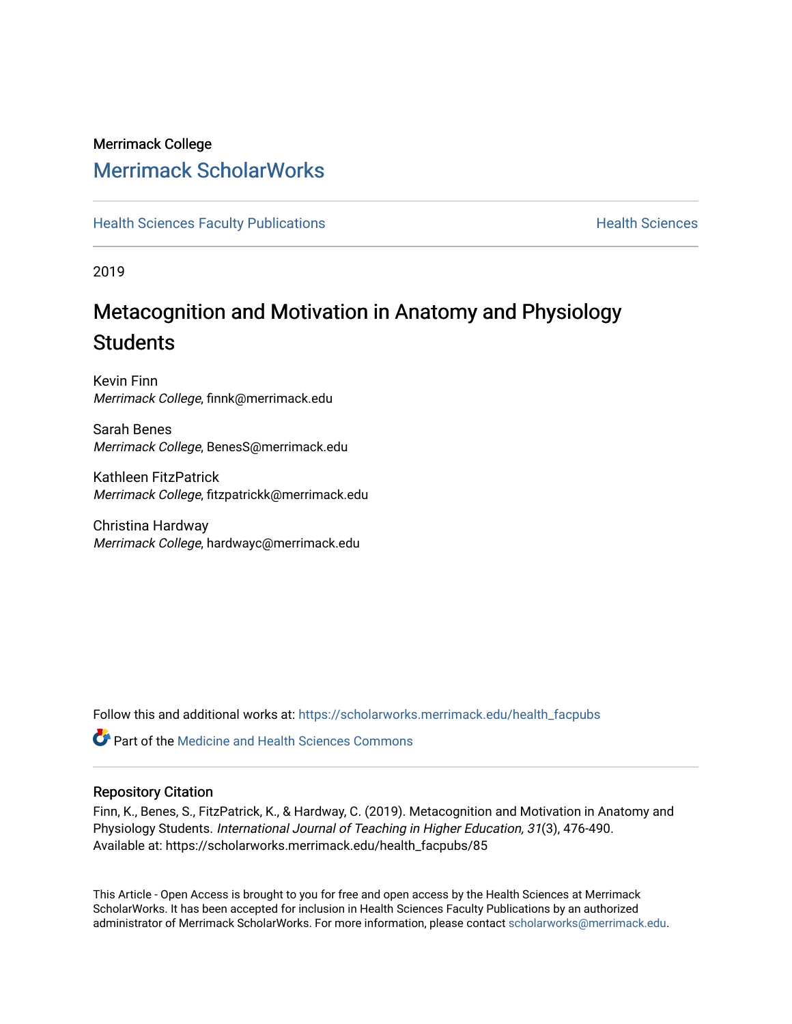## Merrimack College [Merrimack ScholarWorks](https://scholarworks.merrimack.edu/)

**[Health Sciences Faculty Publications](https://scholarworks.merrimack.edu/health_facpubs) Mealth Sciences Health Sciences** Health Sciences

2019

# Metacognition and Motivation in Anatomy and Physiology **Students**

Kevin Finn Merrimack College, finnk@merrimack.edu

Sarah Benes Merrimack College, BenesS@merrimack.edu

Kathleen FitzPatrick Merrimack College, fitzpatrickk@merrimack.edu

Christina Hardway Merrimack College, hardwayc@merrimack.edu

Follow this and additional works at: [https://scholarworks.merrimack.edu/health\\_facpubs](https://scholarworks.merrimack.edu/health_facpubs?utm_source=scholarworks.merrimack.edu%2Fhealth_facpubs%2F85&utm_medium=PDF&utm_campaign=PDFCoverPages) 

**C** Part of the Medicine and Health Sciences Commons

#### Repository Citation

Finn, K., Benes, S., FitzPatrick, K., & Hardway, C. (2019). Metacognition and Motivation in Anatomy and Physiology Students. International Journal of Teaching in Higher Education, 31(3), 476-490. Available at: https://scholarworks.merrimack.edu/health\_facpubs/85

This Article - Open Access is brought to you for free and open access by the Health Sciences at Merrimack ScholarWorks. It has been accepted for inclusion in Health Sciences Faculty Publications by an authorized administrator of Merrimack ScholarWorks. For more information, please contact [scholarworks@merrimack.edu](mailto:scholarworks@merrimack.edu).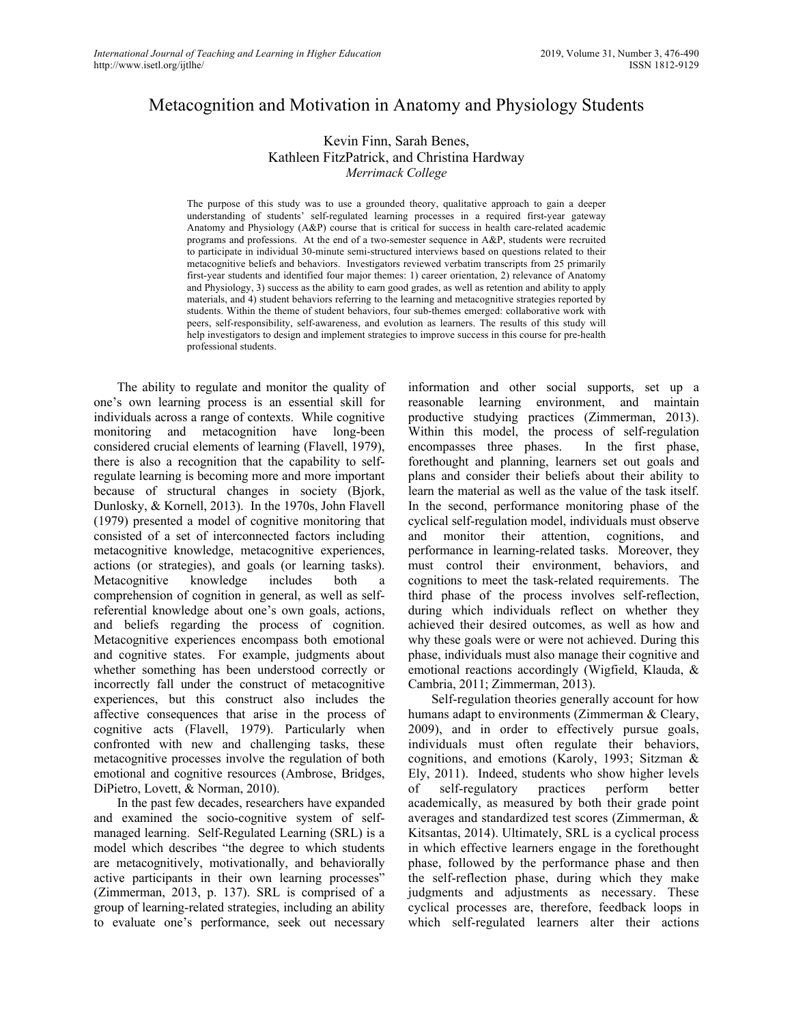### Metacognition and Motivation in Anatomy and Physiology Students

#### Kevin Finn, Sarah Benes, Kathleen FitzPatrick, and Christina Hardway *Merrimack College*

The purpose of this study was to use a grounded theory, qualitative approach to gain a deeper understanding of students' self-regulated learning processes in a required first-year gateway Anatomy and Physiology (A&P) course that is critical for success in health care-related academic programs and professions. At the end of a two-semester sequence in A&P, students were recruited to participate in individual 30-minute semi-structured interviews based on questions related to their metacognitive beliefs and behaviors. Investigators reviewed verbatim transcripts from 25 primarily first-year students and identified four major themes: 1) career orientation, 2) relevance of Anatomy and Physiology, 3) success as the ability to earn good grades, as well as retention and ability to apply materials, and 4) student behaviors referring to the learning and metacognitive strategies reported by students. Within the theme of student behaviors, four sub-themes emerged: collaborative work with peers, self-responsibility, self-awareness, and evolution as learners. The results of this study will help investigators to design and implement strategies to improve success in this course for pre-health professional students.

The ability to regulate and monitor the quality of one's own learning process is an essential skill for individuals across a range of contexts. While cognitive monitoring and metacognition have long-been considered crucial elements of learning (Flavell, 1979), there is also a recognition that the capability to selfregulate learning is becoming more and more important because of structural changes in society (Bjork, Dunlosky, & Kornell, 2013). In the 1970s, John Flavell (1979) presented a model of cognitive monitoring that consisted of a set of interconnected factors including metacognitive knowledge, metacognitive experiences, actions (or strategies), and goals (or learning tasks). Metacognitive knowledge includes both a comprehension of cognition in general, as well as selfreferential knowledge about one's own goals, actions, and beliefs regarding the process of cognition. Metacognitive experiences encompass both emotional and cognitive states. For example, judgments about whether something has been understood correctly or incorrectly fall under the construct of metacognitive experiences, but this construct also includes the affective consequences that arise in the process of cognitive acts (Flavell, 1979). Particularly when confronted with new and challenging tasks, these metacognitive processes involve the regulation of both emotional and cognitive resources (Ambrose, Bridges, DiPietro, Lovett, & Norman, 2010).

In the past few decades, researchers have expanded and examined the socio-cognitive system of selfmanaged learning. Self-Regulated Learning (SRL) is a model which describes "the degree to which students are metacognitively, motivationally, and behaviorally active participants in their own learning processes" (Zimmerman, 2013, p. 137). SRL is comprised of a group of learning-related strategies, including an ability to evaluate one's performance, seek out necessary

information and other social supports, set up a reasonable learning environment, and maintain productive studying practices (Zimmerman, 2013). Within this model, the process of self-regulation encompasses three phases. In the first phase, forethought and planning, learners set out goals and plans and consider their beliefs about their ability to learn the material as well as the value of the task itself. In the second, performance monitoring phase of the cyclical self-regulation model, individuals must observe and monitor their attention, cognitions, and performance in learning-related tasks. Moreover, they must control their environment, behaviors, and cognitions to meet the task-related requirements. The third phase of the process involves self-reflection, during which individuals reflect on whether they achieved their desired outcomes, as well as how and why these goals were or were not achieved. During this phase, individuals must also manage their cognitive and emotional reactions accordingly (Wigfield, Klauda, & Cambria, 2011; Zimmerman, 2013).

Self-regulation theories generally account for how humans adapt to environments (Zimmerman & Cleary, 2009), and in order to effectively pursue goals, individuals must often regulate their behaviors, cognitions, and emotions (Karoly, 1993; Sitzman & Ely, 2011). Indeed, students who show higher levels of self-regulatory practices perform better academically, as measured by both their grade point averages and standardized test scores (Zimmerman, & Kitsantas, 2014). Ultimately, SRL is a cyclical process in which effective learners engage in the forethought phase, followed by the performance phase and then the self-reflection phase, during which they make judgments and adjustments as necessary. These cyclical processes are, therefore, feedback loops in which self-regulated learners alter their actions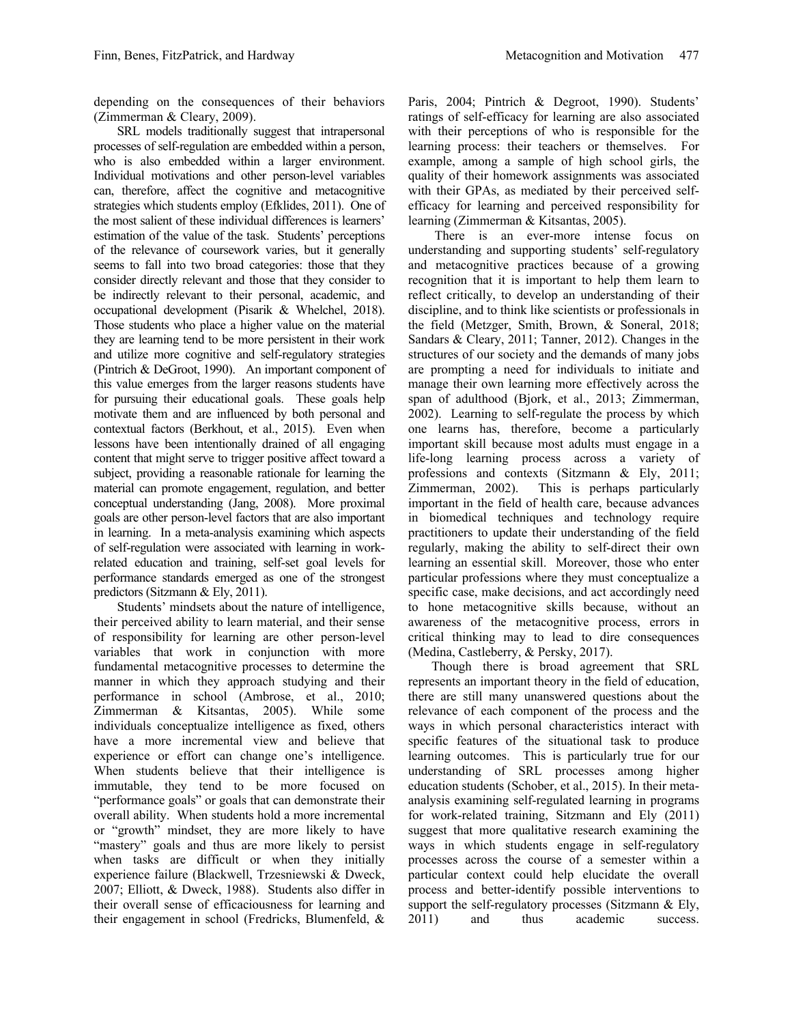depending on the consequences of their behaviors (Zimmerman & Cleary, 2009).

SRL models traditionally suggest that intrapersonal processes of self-regulation are embedded within a person, who is also embedded within a larger environment. Individual motivations and other person-level variables can, therefore, affect the cognitive and metacognitive strategies which students employ (Efklides, 2011). One of the most salient of these individual differences is learners' estimation of the value of the task. Students' perceptions of the relevance of coursework varies, but it generally seems to fall into two broad categories: those that they consider directly relevant and those that they consider to be indirectly relevant to their personal, academic, and occupational development (Pisarik & Whelchel, 2018). Those students who place a higher value on the material they are learning tend to be more persistent in their work and utilize more cognitive and self-regulatory strategies (Pintrich & DeGroot, 1990). An important component of this value emerges from the larger reasons students have for pursuing their educational goals. These goals help motivate them and are influenced by both personal and contextual factors (Berkhout, et al., 2015). Even when lessons have been intentionally drained of all engaging content that might serve to trigger positive affect toward a subject, providing a reasonable rationale for learning the material can promote engagement, regulation, and better conceptual understanding (Jang, 2008). More proximal goals are other person-level factors that are also important in learning. In a meta-analysis examining which aspects of self-regulation were associated with learning in workrelated education and training, self-set goal levels for performance standards emerged as one of the strongest predictors (Sitzmann & Ely, 2011).

Students' mindsets about the nature of intelligence, their perceived ability to learn material, and their sense of responsibility for learning are other person-level variables that work in conjunction with more fundamental metacognitive processes to determine the manner in which they approach studying and their performance in school (Ambrose, et al., 2010; Zimmerman & Kitsantas, 2005). While some individuals conceptualize intelligence as fixed, others have a more incremental view and believe that experience or effort can change one's intelligence. When students believe that their intelligence is immutable, they tend to be more focused on "performance goals" or goals that can demonstrate their overall ability. When students hold a more incremental or "growth" mindset, they are more likely to have "mastery" goals and thus are more likely to persist when tasks are difficult or when they initially experience failure (Blackwell, Trzesniewski & Dweck, 2007; Elliott, & Dweck, 1988). Students also differ in their overall sense of efficaciousness for learning and their engagement in school (Fredricks, Blumenfeld, &

Paris, 2004; Pintrich & Degroot, 1990). Students' ratings of self-efficacy for learning are also associated with their perceptions of who is responsible for the learning process: their teachers or themselves. For example, among a sample of high school girls, the quality of their homework assignments was associated with their GPAs, as mediated by their perceived selfefficacy for learning and perceived responsibility for learning (Zimmerman & Kitsantas, 2005).

There is an ever-more intense focus on understanding and supporting students' self-regulatory and metacognitive practices because of a growing recognition that it is important to help them learn to reflect critically, to develop an understanding of their discipline, and to think like scientists or professionals in the field (Metzger, Smith, Brown, & Soneral, 2018; Sandars & Cleary, 2011; Tanner, 2012). Changes in the structures of our society and the demands of many jobs are prompting a need for individuals to initiate and manage their own learning more effectively across the span of adulthood (Bjork, et al., 2013; Zimmerman, 2002). Learning to self-regulate the process by which one learns has, therefore, become a particularly important skill because most adults must engage in a life-long learning process across a variety of professions and contexts (Sitzmann & Ely, 2011; Zimmerman, 2002). This is perhaps particularly important in the field of health care, because advances in biomedical techniques and technology require practitioners to update their understanding of the field regularly, making the ability to self-direct their own learning an essential skill. Moreover, those who enter particular professions where they must conceptualize a specific case, make decisions, and act accordingly need to hone metacognitive skills because, without an awareness of the metacognitive process, errors in critical thinking may to lead to dire consequences (Medina, Castleberry, & Persky, 2017).

Though there is broad agreement that SRL represents an important theory in the field of education, there are still many unanswered questions about the relevance of each component of the process and the ways in which personal characteristics interact with specific features of the situational task to produce learning outcomes. This is particularly true for our understanding of SRL processes among higher education students (Schober, et al., 2015). In their metaanalysis examining self-regulated learning in programs for work-related training, Sitzmann and Ely (2011) suggest that more qualitative research examining the ways in which students engage in self-regulatory processes across the course of a semester within a particular context could help elucidate the overall process and better-identify possible interventions to support the self-regulatory processes (Sitzmann & Ely, 2011) and thus academic success.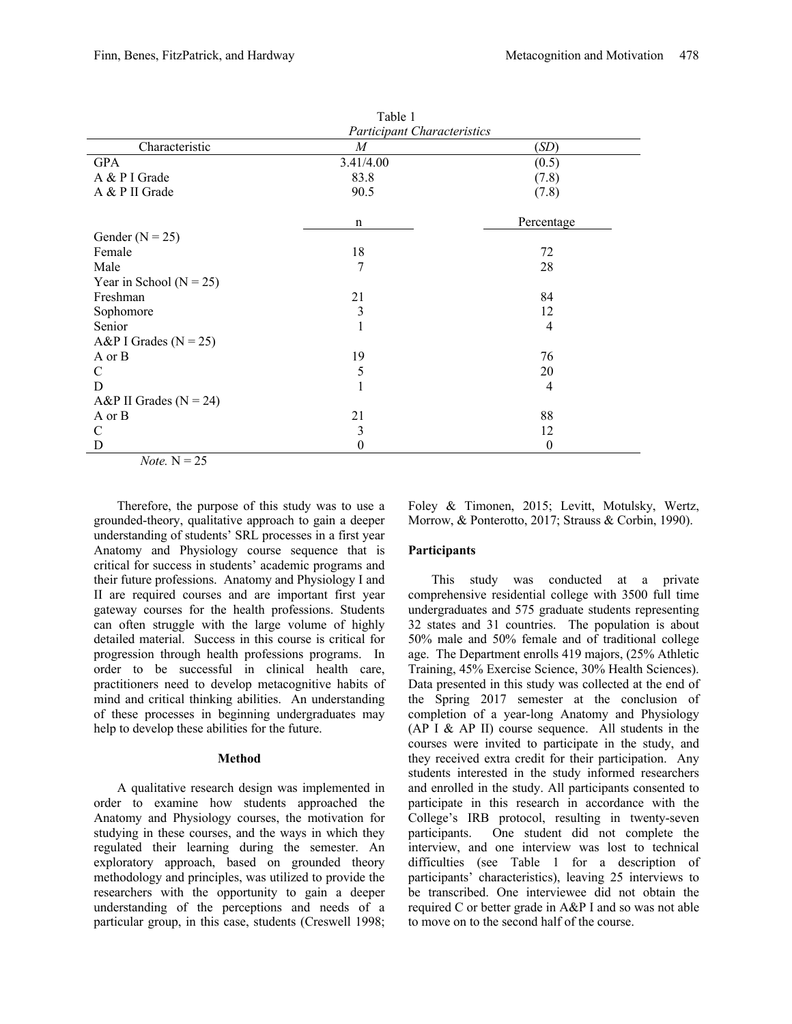|                             | Table 1                            |                |
|-----------------------------|------------------------------------|----------------|
|                             | <b>Participant Characteristics</b> |                |
| Characteristic              | M                                  | (SD)           |
| <b>GPA</b>                  | 3.41/4.00                          | (0.5)          |
| A & P I Grade               | 83.8                               | (7.8)          |
| A & P II Grade              | 90.5                               | (7.8)          |
|                             | n                                  | Percentage     |
| Gender ( $N = 25$ )         |                                    |                |
| Female                      | 18                                 | 72             |
| Male                        | 7                                  | 28             |
| Year in School ( $N = 25$ ) |                                    |                |
| Freshman                    | 21                                 | 84             |
| Sophomore                   | $\mathfrak{Z}$                     | 12             |
| Senior                      | $\mathbf{1}$                       | $\overline{4}$ |
| A&P I Grades ( $N = 25$ )   |                                    |                |
| A or B                      | 19                                 | 76             |
| $\mathcal{C}$               | 5                                  | 20             |
| D                           | $\mathbf{1}$                       | $\overline{4}$ |
| A&P II Grades ( $N = 24$ )  |                                    |                |
| A or B                      | 21                                 | 88             |
| $\mathcal{C}$               | 3                                  | 12             |
| D                           | $\theta$                           | $\theta$       |
| <i>Note</i> . $N = 25$      |                                    |                |

Therefore, the purpose of this study was to use a grounded-theory, qualitative approach to gain a deeper understanding of students' SRL processes in a first year Anatomy and Physiology course sequence that is critical for success in students' academic programs and their future professions. Anatomy and Physiology I and II are required courses and are important first year gateway courses for the health professions. Students can often struggle with the large volume of highly detailed material. Success in this course is critical for progression through health professions programs. In order to be successful in clinical health care, practitioners need to develop metacognitive habits of mind and critical thinking abilities. An understanding of these processes in beginning undergraduates may help to develop these abilities for the future.

#### **Method**

A qualitative research design was implemented in order to examine how students approached the Anatomy and Physiology courses, the motivation for studying in these courses, and the ways in which they regulated their learning during the semester. An exploratory approach, based on grounded theory methodology and principles, was utilized to provide the researchers with the opportunity to gain a deeper understanding of the perceptions and needs of a particular group, in this case, students (Creswell 1998;

Foley & Timonen, 2015; Levitt, Motulsky, Wertz, Morrow, & Ponterotto, 2017; Strauss & Corbin, 1990).

#### **Participants**

This study was conducted at a private comprehensive residential college with 3500 full time undergraduates and 575 graduate students representing 32 states and 31 countries. The population is about 50% male and 50% female and of traditional college age. The Department enrolls 419 majors, (25% Athletic Training, 45% Exercise Science, 30% Health Sciences). Data presented in this study was collected at the end of the Spring 2017 semester at the conclusion of completion of a year-long Anatomy and Physiology (AP I & AP II) course sequence. All students in the courses were invited to participate in the study, and they received extra credit for their participation. Any students interested in the study informed researchers and enrolled in the study. All participants consented to participate in this research in accordance with the College's IRB protocol, resulting in twenty-seven participants. One student did not complete the interview, and one interview was lost to technical difficulties (see Table 1 for a description of participants' characteristics), leaving 25 interviews to be transcribed. One interviewee did not obtain the required C or better grade in A&P I and so was not able to move on to the second half of the course.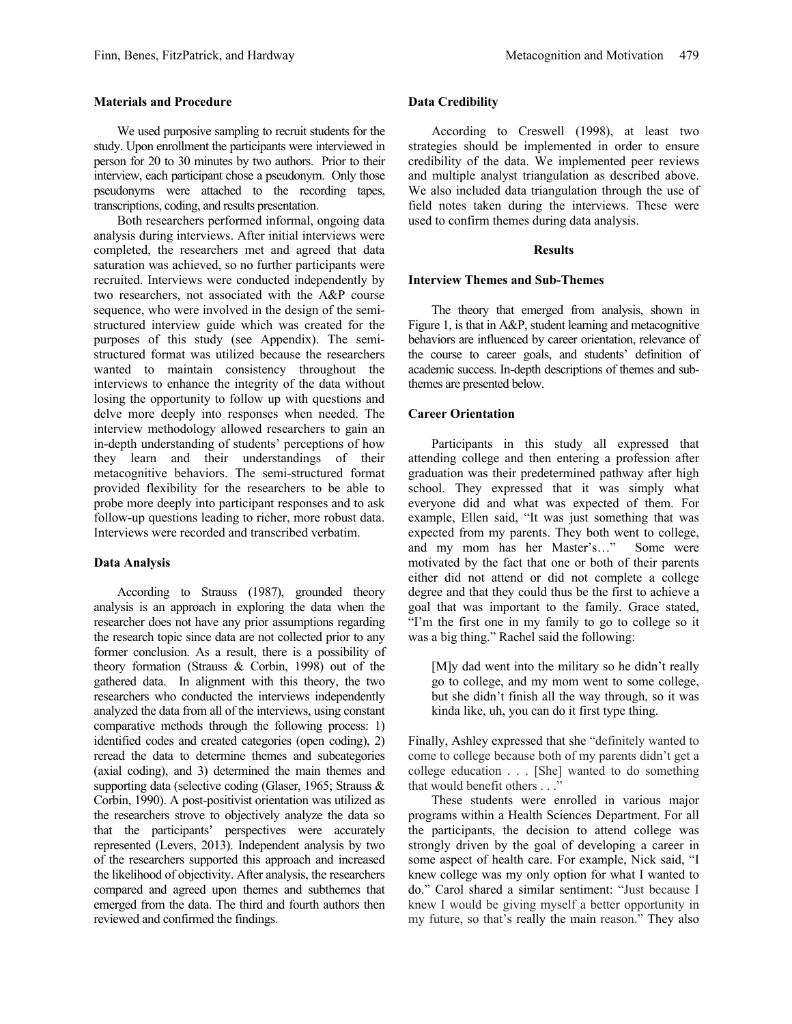#### **Materials and Procedure**

We used purposive sampling to recruit students for the study. Upon enrollment the participants were interviewed in person for 20 to 30 minutes by two authors. Prior to their interview, each participant chose a pseudonym. Only those pseudonyms were attached to the recording tapes, transcriptions, coding, and results presentation.

Both researchers performed informal, ongoing data analysis during interviews. After initial interviews were completed, the researchers met and agreed that data saturation was achieved, so no further participants were recruited. Interviews were conducted independently by two researchers, not associated with the A&P course sequence, who were involved in the design of the semistructured interview guide which was created for the purposes of this study (see Appendix). The semistructured format was utilized because the researchers wanted to maintain consistency throughout the interviews to enhance the integrity of the data without losing the opportunity to follow up with questions and delve more deeply into responses when needed. The interview methodology allowed researchers to gain an in-depth understanding of students' perceptions of how they learn and their understandings of their metacognitive behaviors. The semi-structured format provided flexibility for the researchers to be able to probe more deeply into participant responses and to ask follow-up questions leading to richer, more robust data. Interviews were recorded and transcribed verbatim.

#### **Data Analysis**

According to Strauss (1987), grounded theory analysis is an approach in exploring the data when the researcher does not have any prior assumptions regarding the research topic since data are not collected prior to any former conclusion. As a result, there is a possibility of theory formation (Strauss & Corbin, 1998) out of the gathered data. In alignment with this theory, the two researchers who conducted the interviews independently analyzed the data from all of the interviews, using constant comparative methods through the following process: 1) identified codes and created categories (open coding), 2) reread the data to determine themes and subcategories (axial coding), and 3) determined the main themes and supporting data (selective coding (Glaser, 1965; Strauss & Corbin, 1990). A post-positivist orientation was utilized as the researchers strove to objectively analyze the data so that the participants' perspectives were accurately represented (Levers, 2013). Independent analysis by two of the researchers supported this approach and increased the likelihood of objectivity. After analysis, the researchers compared and agreed upon themes and subthemes that emerged from the data. The third and fourth authors then reviewed and confirmed the findings.

#### **Data Credibility**

According to Creswell (1998), at least two strategies should be implemented in order to ensure credibility of the data. We implemented peer reviews and multiple analyst triangulation as described above. We also included data triangulation through the use of field notes taken during the interviews. These were used to confirm themes during data analysis.

#### **Results**

#### **Interview Themes and Sub-Themes**

The theory that emerged from analysis, shown in Figure 1, is that in A&P, student learning and metacognitive behaviors are influenced by career orientation, relevance of the course to career goals, and students' definition of academic success. In-depth descriptions of themes and subthemes are presented below.

#### **Career Orientation**

Participants in this study all expressed that attending college and then entering a profession after graduation was their predetermined pathway after high school. They expressed that it was simply what everyone did and what was expected of them. For example, Ellen said, "It was just something that was expected from my parents. They both went to college, and my mom has her Master's…" Some were motivated by the fact that one or both of their parents either did not attend or did not complete a college degree and that they could thus be the first to achieve a goal that was important to the family. Grace stated, "I'm the first one in my family to go to college so it was a big thing." Rachel said the following:

[M]y dad went into the military so he didn't really go to college, and my mom went to some college, but she didn't finish all the way through, so it was kinda like, uh, you can do it first type thing.

Finally, Ashley expressed that she "definitely wanted to come to college because both of my parents didn't get a college education . . . [She] wanted to do something that would benefit others . . ."

These students were enrolled in various major programs within a Health Sciences Department. For all the participants, the decision to attend college was strongly driven by the goal of developing a career in some aspect of health care. For example, Nick said, "I knew college was my only option for what I wanted to do." Carol shared a similar sentiment: "Just because I knew I would be giving myself a better opportunity in my future, so that's really the main reason." They also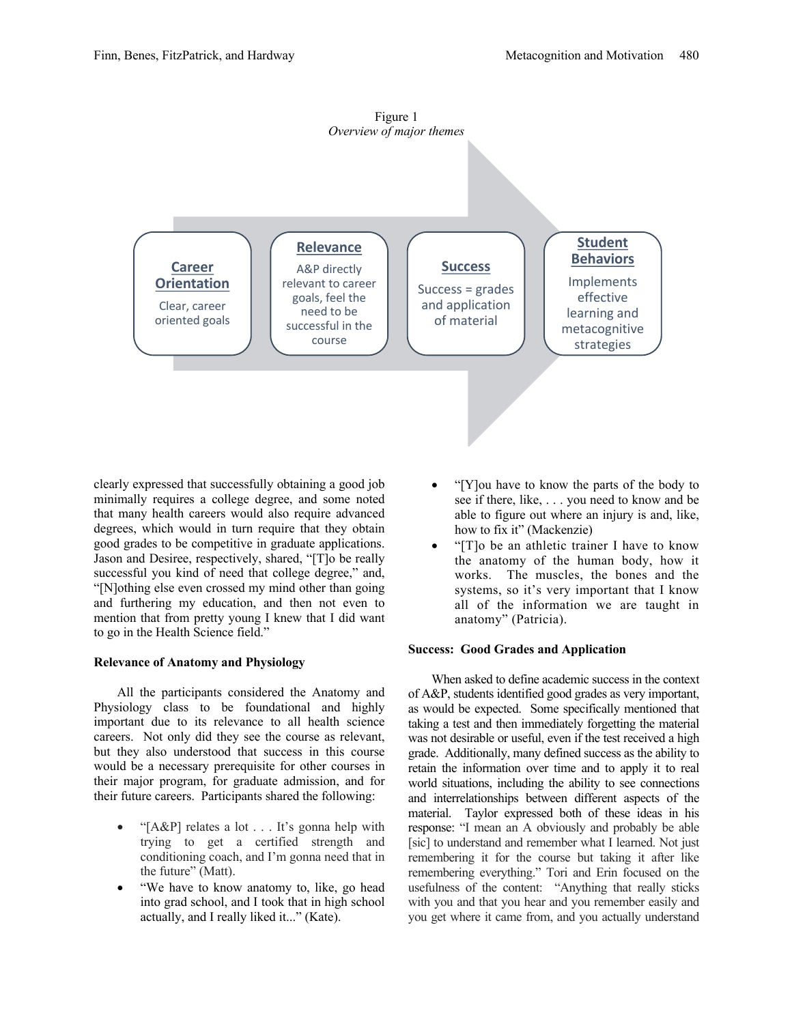



clearly expressed that successfully obtaining a good job minimally requires a college degree, and some noted that many health careers would also require advanced degrees, which would in turn require that they obtain good grades to be competitive in graduate applications. Jason and Desiree, respectively, shared, "[T]o be really successful you kind of need that college degree," and, "[N]othing else even crossed my mind other than going and furthering my education, and then not even to mention that from pretty young I knew that I did want to go in the Health Science field."

#### **Relevance of Anatomy and Physiology**

All the participants considered the Anatomy and Physiology class to be foundational and highly important due to its relevance to all health science careers. Not only did they see the course as relevant, but they also understood that success in this course would be a necessary prerequisite for other courses in their major program, for graduate admission, and for their future careers. Participants shared the following:

- "[A&P] relates a lot . . . It's gonna help with trying to get a certified strength and conditioning coach, and I'm gonna need that in the future" (Matt).
- "We have to know anatomy to, like, go head into grad school, and I took that in high school actually, and I really liked it..." (Kate).
- "[Y]ou have to know the parts of the body to see if there, like, . . . you need to know and be able to figure out where an injury is and, like, how to fix it" (Mackenzie)
- "[T]o be an athletic trainer I have to know the anatomy of the human body, how it works. The muscles, the bones and the systems, so it's very important that I know all of the information we are taught in anatomy" (Patricia).

#### **Success: Good Grades and Application**

When asked to define academic success in the context of A&P, students identified good grades as very important, as would be expected. Some specifically mentioned that taking a test and then immediately forgetting the material was not desirable or useful, even if the test received a high grade. Additionally, many defined success as the ability to retain the information over time and to apply it to real world situations, including the ability to see connections and interrelationships between different aspects of the material. Taylor expressed both of these ideas in his response: "I mean an A obviously and probably be able [sic] to understand and remember what I learned. Not just remembering it for the course but taking it after like remembering everything." Tori and Erin focused on the usefulness of the content: "Anything that really sticks with you and that you hear and you remember easily and you get where it came from, and you actually understand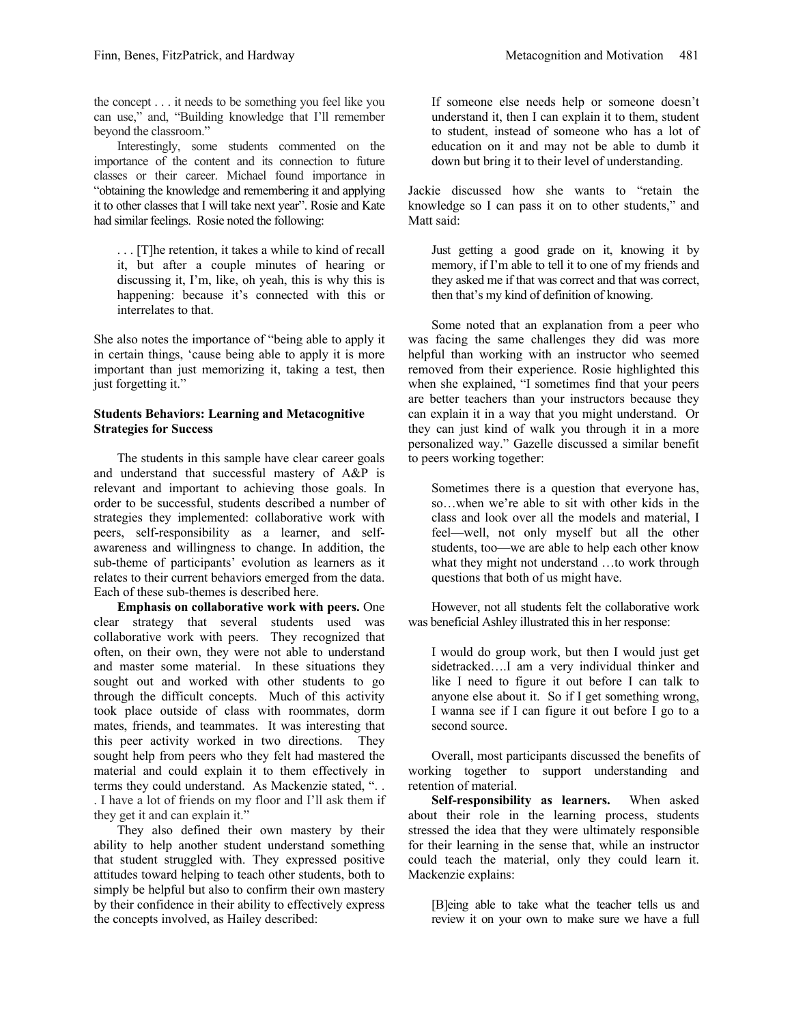the concept . . . it needs to be something you feel like you can use," and, "Building knowledge that I'll remember beyond the classroom."

Interestingly, some students commented on the importance of the content and its connection to future classes or their career. Michael found importance in "obtaining the knowledge and remembering it and applying it to other classes that I will take next year". Rosie and Kate had similar feelings. Rosie noted the following:

. . . [T]he retention, it takes a while to kind of recall it, but after a couple minutes of hearing or discussing it, I'm, like, oh yeah, this is why this is happening: because it's connected with this or interrelates to that.

She also notes the importance of "being able to apply it in certain things, 'cause being able to apply it is more important than just memorizing it, taking a test, then just forgetting it."

#### **Students Behaviors: Learning and Metacognitive Strategies for Success**

The students in this sample have clear career goals and understand that successful mastery of A&P is relevant and important to achieving those goals. In order to be successful, students described a number of strategies they implemented: collaborative work with peers, self-responsibility as a learner, and selfawareness and willingness to change. In addition, the sub-theme of participants' evolution as learners as it relates to their current behaviors emerged from the data. Each of these sub-themes is described here.

**Emphasis on collaborative work with peers.** One clear strategy that several students used was collaborative work with peers. They recognized that often, on their own, they were not able to understand and master some material. In these situations they sought out and worked with other students to go through the difficult concepts. Much of this activity took place outside of class with roommates, dorm mates, friends, and teammates. It was interesting that this peer activity worked in two directions. They sought help from peers who they felt had mastered the material and could explain it to them effectively in terms they could understand. As Mackenzie stated, ". . . I have a lot of friends on my floor and I'll ask them if they get it and can explain it."

They also defined their own mastery by their ability to help another student understand something that student struggled with. They expressed positive attitudes toward helping to teach other students, both to simply be helpful but also to confirm their own mastery by their confidence in their ability to effectively express the concepts involved, as Hailey described:

If someone else needs help or someone doesn't understand it, then I can explain it to them, student to student, instead of someone who has a lot of education on it and may not be able to dumb it down but bring it to their level of understanding.

Jackie discussed how she wants to "retain the knowledge so I can pass it on to other students," and Matt said:

Just getting a good grade on it, knowing it by memory, if I'm able to tell it to one of my friends and they asked me if that was correct and that was correct, then that's my kind of definition of knowing.

Some noted that an explanation from a peer who was facing the same challenges they did was more helpful than working with an instructor who seemed removed from their experience. Rosie highlighted this when she explained, "I sometimes find that your peers are better teachers than your instructors because they can explain it in a way that you might understand. Or they can just kind of walk you through it in a more personalized way." Gazelle discussed a similar benefit to peers working together:

Sometimes there is a question that everyone has, so…when we're able to sit with other kids in the class and look over all the models and material, I feel—well, not only myself but all the other students, too—we are able to help each other know what they might not understand …to work through questions that both of us might have.

However, not all students felt the collaborative work was beneficial Ashley illustrated this in her response:

I would do group work, but then I would just get sidetracked….I am a very individual thinker and like I need to figure it out before I can talk to anyone else about it. So if I get something wrong, I wanna see if I can figure it out before I go to a second source.

Overall, most participants discussed the benefits of working together to support understanding and retention of material.

**Self-responsibility as learners.**When asked about their role in the learning process, students stressed the idea that they were ultimately responsible for their learning in the sense that, while an instructor could teach the material, only they could learn it. Mackenzie explains:

[B]eing able to take what the teacher tells us and review it on your own to make sure we have a full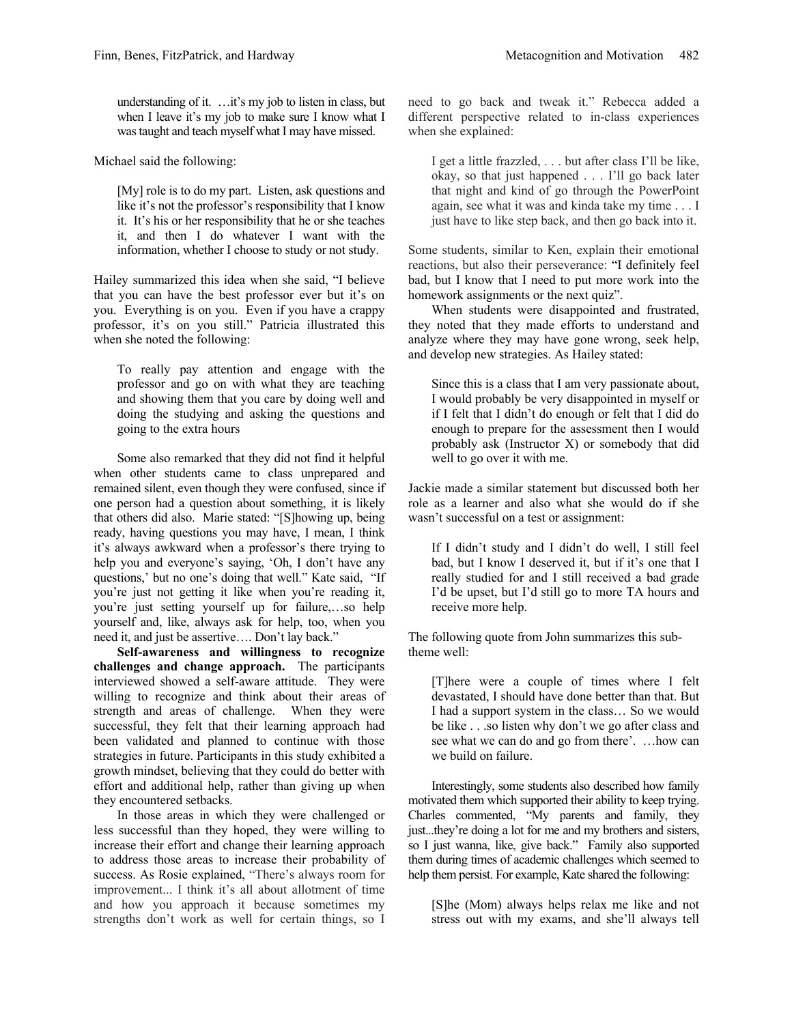understanding of it. …it's my job to listen in class, but when I leave it's my job to make sure I know what I was taught and teach myself what I may have missed.

Michael said the following:

[My] role is to do my part. Listen, ask questions and like it's not the professor's responsibility that I know it. It's his or her responsibility that he or she teaches it, and then I do whatever I want with the information, whether I choose to study or not study.

Hailey summarized this idea when she said, "I believe that you can have the best professor ever but it's on you. Everything is on you. Even if you have a crappy professor, it's on you still." Patricia illustrated this when she noted the following:

To really pay attention and engage with the professor and go on with what they are teaching and showing them that you care by doing well and doing the studying and asking the questions and going to the extra hours

Some also remarked that they did not find it helpful when other students came to class unprepared and remained silent, even though they were confused, since if one person had a question about something, it is likely that others did also. Marie stated: "[S]howing up, being ready, having questions you may have, I mean, I think it's always awkward when a professor's there trying to help you and everyone's saying, 'Oh, I don't have any questions,' but no one's doing that well." Kate said, "If you're just not getting it like when you're reading it, you're just setting yourself up for failure,…so help yourself and, like, always ask for help, too, when you need it, and just be assertive…. Don't lay back."

**Self-awareness and willingness to recognize challenges and change approach.** The participants interviewed showed a self-aware attitude. They were willing to recognize and think about their areas of strength and areas of challenge. When they were successful, they felt that their learning approach had been validated and planned to continue with those strategies in future. Participants in this study exhibited a growth mindset, believing that they could do better with effort and additional help, rather than giving up when they encountered setbacks.

In those areas in which they were challenged or less successful than they hoped, they were willing to increase their effort and change their learning approach to address those areas to increase their probability of success. As Rosie explained, "There's always room for improvement... I think it's all about allotment of time and how you approach it because sometimes my strengths don't work as well for certain things, so I need to go back and tweak it." Rebecca added a different perspective related to in-class experiences when she explained:

I get a little frazzled, . . . but after class I'll be like, okay, so that just happened . . . I'll go back later that night and kind of go through the PowerPoint again, see what it was and kinda take my time . . . I just have to like step back, and then go back into it.

Some students, similar to Ken, explain their emotional reactions, but also their perseverance: "I definitely feel bad, but I know that I need to put more work into the homework assignments or the next quiz".

When students were disappointed and frustrated, they noted that they made efforts to understand and analyze where they may have gone wrong, seek help, and develop new strategies. As Hailey stated:

Since this is a class that I am very passionate about, I would probably be very disappointed in myself or if I felt that I didn't do enough or felt that I did do enough to prepare for the assessment then I would probably ask (Instructor X) or somebody that did well to go over it with me.

Jackie made a similar statement but discussed both her role as a learner and also what she would do if she wasn't successful on a test or assignment:

If I didn't study and I didn't do well, I still feel bad, but I know I deserved it, but if it's one that I really studied for and I still received a bad grade I'd be upset, but I'd still go to more TA hours and receive more help.

The following quote from John summarizes this subtheme well:

[T]here were a couple of times where I felt devastated, I should have done better than that. But I had a support system in the class… So we would be like . . .so listen why don't we go after class and see what we can do and go from there'. …how can we build on failure.

Interestingly, some students also described how family motivated them which supported their ability to keep trying. Charles commented, "My parents and family, they just...they're doing a lot for me and my brothers and sisters, so I just wanna, like, give back." Family also supported them during times of academic challenges which seemed to help them persist. For example, Kate shared the following:

[S]he (Mom) always helps relax me like and not stress out with my exams, and she'll always tell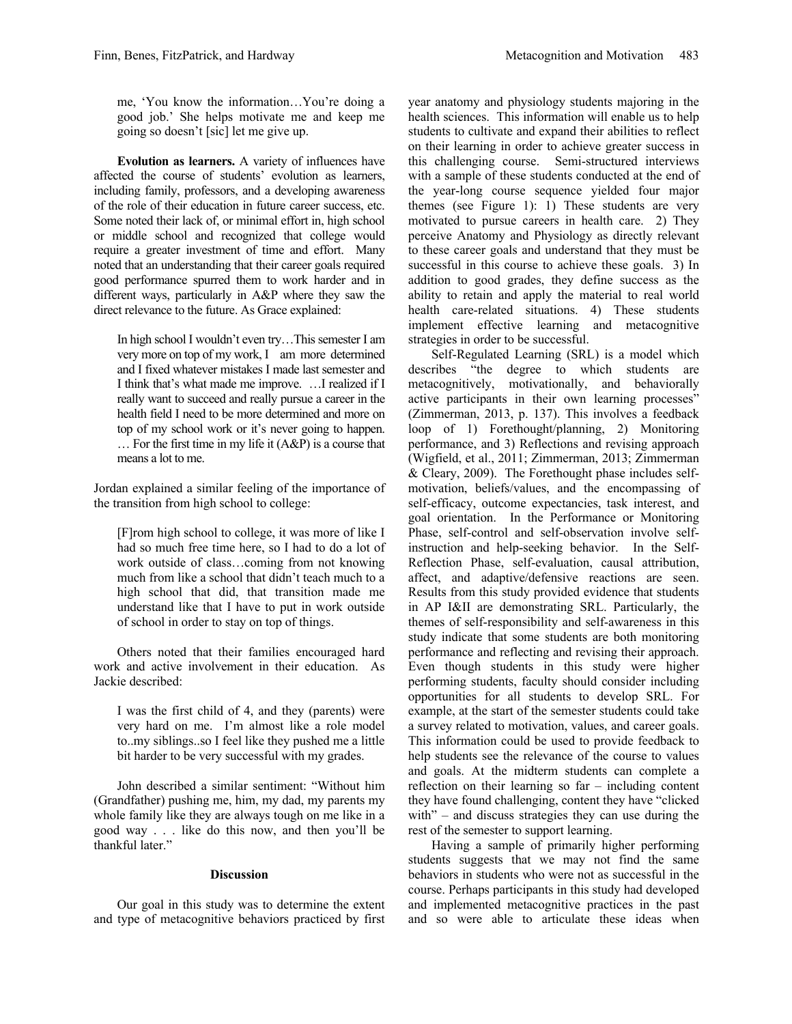me, 'You know the information…You're doing a good job.' She helps motivate me and keep me going so doesn't [sic] let me give up.

**Evolution as learners.** A variety of influences have affected the course of students' evolution as learners, including family, professors, and a developing awareness of the role of their education in future career success, etc. Some noted their lack of, or minimal effort in, high school or middle school and recognized that college would require a greater investment of time and effort. Many noted that an understanding that their career goals required good performance spurred them to work harder and in different ways, particularly in A&P where they saw the direct relevance to the future. As Grace explained:

In high school I wouldn't even try…This semester I am very more on top of my work, I am more determined and I fixed whatever mistakes I made last semester and I think that's what made me improve. …I realized if I really want to succeed and really pursue a career in the health field I need to be more determined and more on top of my school work or it's never going to happen. … For the first time in my life it (A&P) is a course that means a lot to me.

Jordan explained a similar feeling of the importance of the transition from high school to college:

[F]rom high school to college, it was more of like I had so much free time here, so I had to do a lot of work outside of class…coming from not knowing much from like a school that didn't teach much to a high school that did, that transition made me understand like that I have to put in work outside of school in order to stay on top of things.

Others noted that their families encouraged hard work and active involvement in their education. As Jackie described:

I was the first child of 4, and they (parents) were very hard on me. I'm almost like a role model to..my siblings..so I feel like they pushed me a little bit harder to be very successful with my grades.

John described a similar sentiment: "Without him (Grandfather) pushing me, him, my dad, my parents my whole family like they are always tough on me like in a good way . . . like do this now, and then you'll be thankful later."

#### **Discussion**

Our goal in this study was to determine the extent and type of metacognitive behaviors practiced by first

year anatomy and physiology students majoring in the health sciences. This information will enable us to help students to cultivate and expand their abilities to reflect on their learning in order to achieve greater success in this challenging course. Semi-structured interviews with a sample of these students conducted at the end of the year-long course sequence yielded four major themes (see Figure 1): 1) These students are very motivated to pursue careers in health care. 2) They perceive Anatomy and Physiology as directly relevant to these career goals and understand that they must be successful in this course to achieve these goals. 3) In addition to good grades, they define success as the ability to retain and apply the material to real world health care-related situations. 4) These students implement effective learning and metacognitive strategies in order to be successful.

Self-Regulated Learning (SRL) is a model which describes "the degree to which students are metacognitively, motivationally, and behaviorally active participants in their own learning processes" (Zimmerman, 2013, p. 137). This involves a feedback loop of 1) Forethought/planning, 2) Monitoring performance, and 3) Reflections and revising approach (Wigfield, et al., 2011; Zimmerman, 2013; Zimmerman & Cleary, 2009). The Forethought phase includes selfmotivation, beliefs/values, and the encompassing of self-efficacy, outcome expectancies, task interest, and goal orientation. In the Performance or Monitoring Phase, self-control and self-observation involve selfinstruction and help-seeking behavior. In the Self-Reflection Phase, self-evaluation, causal attribution, affect, and adaptive/defensive reactions are seen. Results from this study provided evidence that students in AP I&II are demonstrating SRL. Particularly, the themes of self-responsibility and self-awareness in this study indicate that some students are both monitoring performance and reflecting and revising their approach. Even though students in this study were higher performing students, faculty should consider including opportunities for all students to develop SRL. For example, at the start of the semester students could take a survey related to motivation, values, and career goals. This information could be used to provide feedback to help students see the relevance of the course to values and goals. At the midterm students can complete a reflection on their learning so far – including content they have found challenging, content they have "clicked with" – and discuss strategies they can use during the rest of the semester to support learning.

Having a sample of primarily higher performing students suggests that we may not find the same behaviors in students who were not as successful in the course. Perhaps participants in this study had developed and implemented metacognitive practices in the past and so were able to articulate these ideas when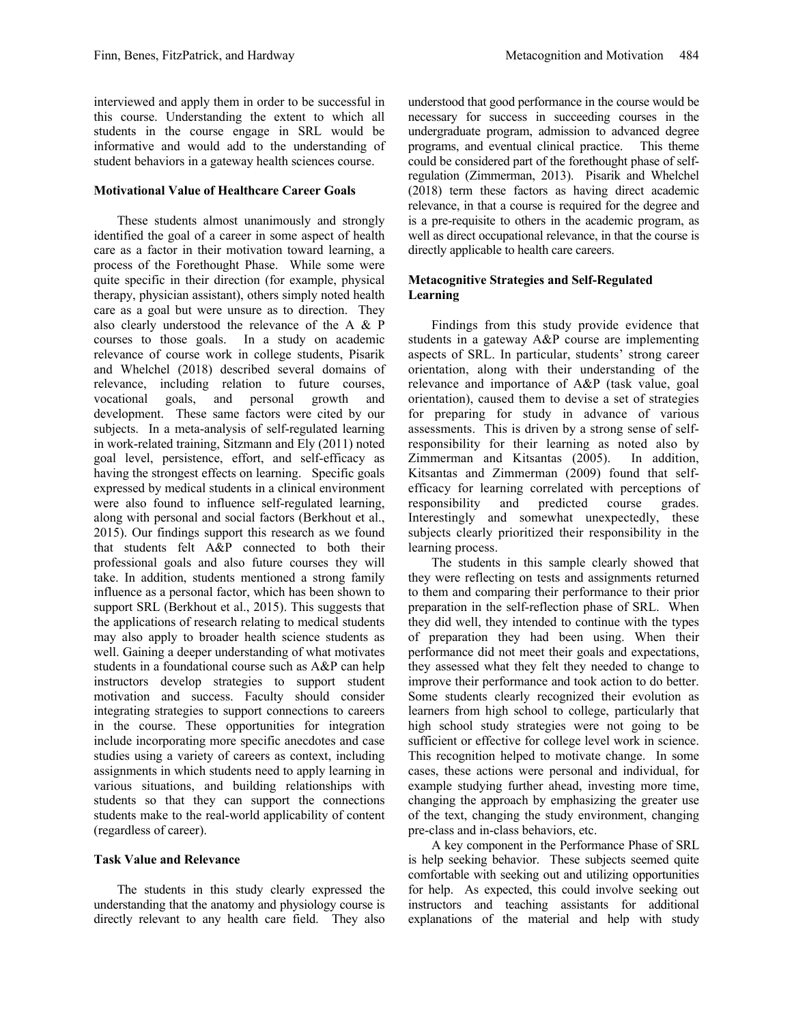interviewed and apply them in order to be successful in this course. Understanding the extent to which all students in the course engage in SRL would be informative and would add to the understanding of student behaviors in a gateway health sciences course.

#### **Motivational Value of Healthcare Career Goals**

These students almost unanimously and strongly identified the goal of a career in some aspect of health care as a factor in their motivation toward learning, a process of the Forethought Phase. While some were quite specific in their direction (for example, physical therapy, physician assistant), others simply noted health care as a goal but were unsure as to direction. They also clearly understood the relevance of the A & P courses to those goals. In a study on academic relevance of course work in college students, Pisarik and Whelchel (2018) described several domains of relevance, including relation to future courses, vocational goals, and personal growth and development. These same factors were cited by our subjects. In a meta-analysis of self-regulated learning in work-related training, Sitzmann and Ely (2011) noted goal level, persistence, effort, and self-efficacy as having the strongest effects on learning. Specific goals expressed by medical students in a clinical environment were also found to influence self-regulated learning, along with personal and social factors (Berkhout et al., 2015). Our findings support this research as we found that students felt A&P connected to both their professional goals and also future courses they will take. In addition, students mentioned a strong family influence as a personal factor, which has been shown to support SRL (Berkhout et al., 2015). This suggests that the applications of research relating to medical students may also apply to broader health science students as well. Gaining a deeper understanding of what motivates students in a foundational course such as A&P can help instructors develop strategies to support student motivation and success. Faculty should consider integrating strategies to support connections to careers in the course. These opportunities for integration include incorporating more specific anecdotes and case studies using a variety of careers as context, including assignments in which students need to apply learning in various situations, and building relationships with students so that they can support the connections students make to the real-world applicability of content (regardless of career).

#### **Task Value and Relevance**

The students in this study clearly expressed the understanding that the anatomy and physiology course is directly relevant to any health care field. They also understood that good performance in the course would be necessary for success in succeeding courses in the undergraduate program, admission to advanced degree programs, and eventual clinical practice. This theme could be considered part of the forethought phase of selfregulation (Zimmerman, 2013). Pisarik and Whelchel (2018) term these factors as having direct academic relevance, in that a course is required for the degree and is a pre-requisite to others in the academic program, as well as direct occupational relevance, in that the course is directly applicable to health care careers.

#### **Metacognitive Strategies and Self-Regulated Learning**

Findings from this study provide evidence that students in a gateway A&P course are implementing aspects of SRL. In particular, students' strong career orientation, along with their understanding of the relevance and importance of A&P (task value, goal orientation), caused them to devise a set of strategies for preparing for study in advance of various assessments. This is driven by a strong sense of selfresponsibility for their learning as noted also by Zimmerman and Kitsantas (2005). In addition, Kitsantas and Zimmerman (2009) found that selfefficacy for learning correlated with perceptions of responsibility and predicted course grades. Interestingly and somewhat unexpectedly, these subjects clearly prioritized their responsibility in the learning process.

The students in this sample clearly showed that they were reflecting on tests and assignments returned to them and comparing their performance to their prior preparation in the self-reflection phase of SRL. When they did well, they intended to continue with the types of preparation they had been using. When their performance did not meet their goals and expectations, they assessed what they felt they needed to change to improve their performance and took action to do better. Some students clearly recognized their evolution as learners from high school to college, particularly that high school study strategies were not going to be sufficient or effective for college level work in science. This recognition helped to motivate change. In some cases, these actions were personal and individual, for example studying further ahead, investing more time, changing the approach by emphasizing the greater use of the text, changing the study environment, changing pre-class and in-class behaviors, etc.

A key component in the Performance Phase of SRL is help seeking behavior. These subjects seemed quite comfortable with seeking out and utilizing opportunities for help. As expected, this could involve seeking out instructors and teaching assistants for additional explanations of the material and help with study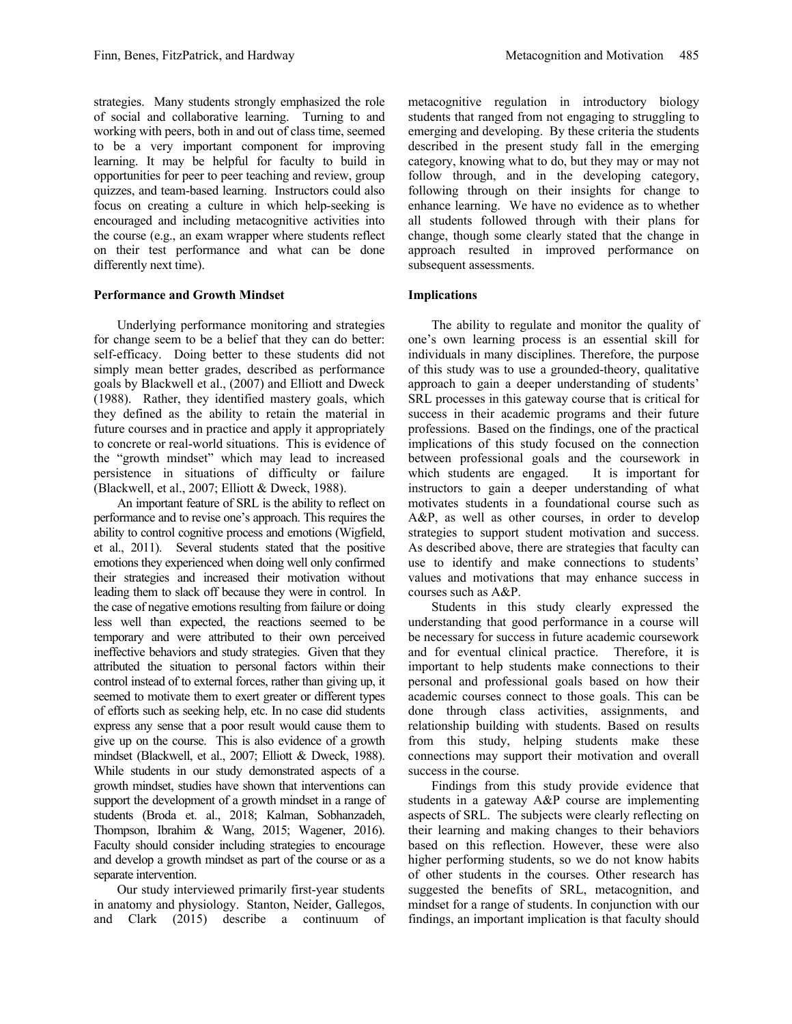strategies. Many students strongly emphasized the role of social and collaborative learning. Turning to and working with peers, both in and out of class time, seemed to be a very important component for improving learning. It may be helpful for faculty to build in opportunities for peer to peer teaching and review, group quizzes, and team-based learning. Instructors could also focus on creating a culture in which help-seeking is encouraged and including metacognitive activities into the course (e.g., an exam wrapper where students reflect on their test performance and what can be done differently next time).

#### **Performance and Growth Mindset**

Underlying performance monitoring and strategies for change seem to be a belief that they can do better: self-efficacy. Doing better to these students did not simply mean better grades, described as performance goals by Blackwell et al., (2007) and Elliott and Dweck (1988). Rather, they identified mastery goals, which they defined as the ability to retain the material in future courses and in practice and apply it appropriately to concrete or real-world situations. This is evidence of the "growth mindset" which may lead to increased persistence in situations of difficulty or failure (Blackwell, et al., 2007; Elliott & Dweck, 1988).

An important feature of SRL is the ability to reflect on performance and to revise one's approach. This requires the ability to control cognitive process and emotions (Wigfield, et al., 2011). Several students stated that the positive emotions they experienced when doing well only confirmed their strategies and increased their motivation without leading them to slack off because they were in control. In the case of negative emotions resulting from failure or doing less well than expected, the reactions seemed to be temporary and were attributed to their own perceived ineffective behaviors and study strategies. Given that they attributed the situation to personal factors within their control instead of to external forces, rather than giving up, it seemed to motivate them to exert greater or different types of efforts such as seeking help, etc. In no case did students express any sense that a poor result would cause them to give up on the course. This is also evidence of a growth mindset (Blackwell, et al., 2007; Elliott & Dweck, 1988). While students in our study demonstrated aspects of a growth mindset, studies have shown that interventions can support the development of a growth mindset in a range of students (Broda et. al., 2018; Kalman, Sobhanzadeh, Thompson, Ibrahim & Wang, 2015; Wagener, 2016). Faculty should consider including strategies to encourage and develop a growth mindset as part of the course or as a separate intervention.

Our study interviewed primarily first-year students in anatomy and physiology. Stanton, Neider, Gallegos, and Clark (2015) describe a continuum of metacognitive regulation in introductory biology students that ranged from not engaging to struggling to emerging and developing. By these criteria the students described in the present study fall in the emerging category, knowing what to do, but they may or may not follow through, and in the developing category, following through on their insights for change to enhance learning. We have no evidence as to whether all students followed through with their plans for change, though some clearly stated that the change in approach resulted in improved performance on subsequent assessments.

#### **Implications**

The ability to regulate and monitor the quality of one's own learning process is an essential skill for individuals in many disciplines. Therefore, the purpose of this study was to use a grounded-theory, qualitative approach to gain a deeper understanding of students' SRL processes in this gateway course that is critical for success in their academic programs and their future professions. Based on the findings, one of the practical implications of this study focused on the connection between professional goals and the coursework in which students are engaged. It is important for instructors to gain a deeper understanding of what motivates students in a foundational course such as A&P, as well as other courses, in order to develop strategies to support student motivation and success. As described above, there are strategies that faculty can use to identify and make connections to students' values and motivations that may enhance success in courses such as A&P.

Students in this study clearly expressed the understanding that good performance in a course will be necessary for success in future academic coursework and for eventual clinical practice. Therefore, it is important to help students make connections to their personal and professional goals based on how their academic courses connect to those goals. This can be done through class activities, assignments, and relationship building with students. Based on results from this study, helping students make these connections may support their motivation and overall success in the course.

Findings from this study provide evidence that students in a gateway A&P course are implementing aspects of SRL. The subjects were clearly reflecting on their learning and making changes to their behaviors based on this reflection. However, these were also higher performing students, so we do not know habits of other students in the courses. Other research has suggested the benefits of SRL, metacognition, and mindset for a range of students. In conjunction with our findings, an important implication is that faculty should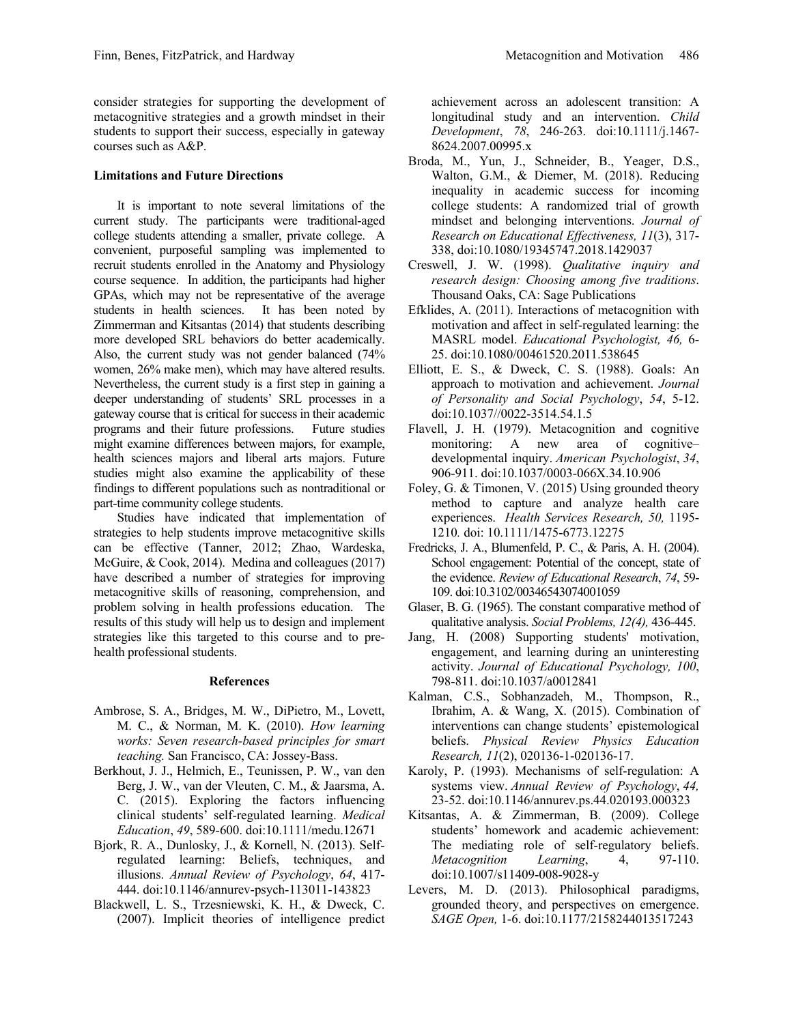consider strategies for supporting the development of metacognitive strategies and a growth mindset in their students to support their success, especially in gateway courses such as A&P.

#### **Limitations and Future Directions**

It is important to note several limitations of the current study. The participants were traditional-aged college students attending a smaller, private college. A convenient, purposeful sampling was implemented to recruit students enrolled in the Anatomy and Physiology course sequence. In addition, the participants had higher GPAs, which may not be representative of the average students in health sciences. It has been noted by Zimmerman and Kitsantas (2014) that students describing more developed SRL behaviors do better academically. Also, the current study was not gender balanced (74% women, 26% make men), which may have altered results. Nevertheless, the current study is a first step in gaining a deeper understanding of students' SRL processes in a gateway course that is critical for success in their academic programs and their future professions. Future studies might examine differences between majors, for example, health sciences majors and liberal arts majors. Future studies might also examine the applicability of these findings to different populations such as nontraditional or part-time community college students.

Studies have indicated that implementation of strategies to help students improve metacognitive skills can be effective (Tanner, 2012; Zhao, Wardeska, McGuire, & Cook, 2014). Medina and colleagues (2017) have described a number of strategies for improving metacognitive skills of reasoning, comprehension, and problem solving in health professions education. The results of this study will help us to design and implement strategies like this targeted to this course and to prehealth professional students.

#### **References**

- Ambrose, S. A., Bridges, M. W., DiPietro, M., Lovett, M. C., & Norman, M. K. (2010). *How learning works: Seven research-based principles for smart teaching.* San Francisco, CA: Jossey-Bass.
- Berkhout, J. J., Helmich, E., Teunissen, P. W., van den Berg, J. W., van der Vleuten, C. M., & Jaarsma, A. C. (2015). Exploring the factors influencing clinical students' self‐regulated learning. *Medical Education*, *49*, 589-600. doi:10.1111/medu.12671
- Bjork, R. A., Dunlosky, J., & Kornell, N. (2013). Selfregulated learning: Beliefs, techniques, and illusions. *Annual Review of Psychology*, *64*, 417- 444. doi:10.1146/annurev-psych-113011-143823
- Blackwell, L. S., Trzesniewski, K. H., & Dweck, C. (2007). Implicit theories of intelligence predict

achievement across an adolescent transition: A longitudinal study and an intervention. *Child Development*, *78*, 246-263. doi:10.1111/j.1467- 8624.2007.00995.x

- Broda, M., Yun, J., Schneider, B., Yeager, D.S., Walton, G.M., & Diemer, M. (2018). Reducing inequality in academic success for incoming college students: A randomized trial of growth mindset and belonging interventions. *Journal of Research on Educational Effectiveness, 11*(3), 317- 338, doi:10.1080/19345747.2018.1429037
- Creswell, J. W. (1998). *Qualitative inquiry and research design: Choosing among five traditions*. Thousand Oaks, CA: Sage Publications
- Efklides, A. (2011). Interactions of metacognition with motivation and affect in self-regulated learning: the MASRL model. *Educational Psychologist, 46,* 6- 25. doi:10.1080/00461520.2011.538645
- Elliott, E. S., & Dweck, C. S. (1988). Goals: An approach to motivation and achievement. *Journal of Personality and Social Psychology*, *54*, 5-12. doi:10.1037//0022-3514.54.1.5
- Flavell, J. H. (1979). Metacognition and cognitive monitoring: A new area of cognitive– developmental inquiry. *American Psychologist*, *34*, 906-911. doi:10.1037/0003-066X.34.10.906
- Foley, G. & Timonen, V. (2015) Using grounded theory method to capture and analyze health care experiences. *Health Services Research, 50,* 1195- 1210*.* doi: 10.1111/1475-6773.12275
- Fredricks, J. A., Blumenfeld, P. C., & Paris, A. H. (2004). School engagement: Potential of the concept, state of the evidence. *Review of Educational Research*, *74*, 59- 109. doi:10.3102/00346543074001059
- Glaser, B. G. (1965). The constant comparative method of qualitative analysis. *Social Problems, 12(4),* 436-445.
- Jang, H. (2008) Supporting students' motivation, engagement, and learning during an uninteresting activity. *Journal of Educational Psychology, 100*, 798-811. doi:10.1037/a0012841
- Kalman, C.S., Sobhanzadeh, M., Thompson, R., Ibrahim, A. & Wang, X. (2015). Combination of interventions can change students' epistemological beliefs. *Physical Review Physics Education Research, 11*(2), 020136-1-020136-17.
- Karoly, P. (1993). Mechanisms of self-regulation: A systems view. *Annual Review of Psychology*, *44,* 23-52. doi:10.1146/annurev.ps.44.020193.000323
- Kitsantas, A. & Zimmerman, B. (2009). College students' homework and academic achievement: The mediating role of self-regulatory beliefs. *Metacognition Learning*, 4, 97-110. doi:10.1007/s11409-008-9028-y
- Levers, M. D. (2013). Philosophical paradigms, grounded theory, and perspectives on emergence. *SAGE Open,* 1-6. doi:10.1177/2158244013517243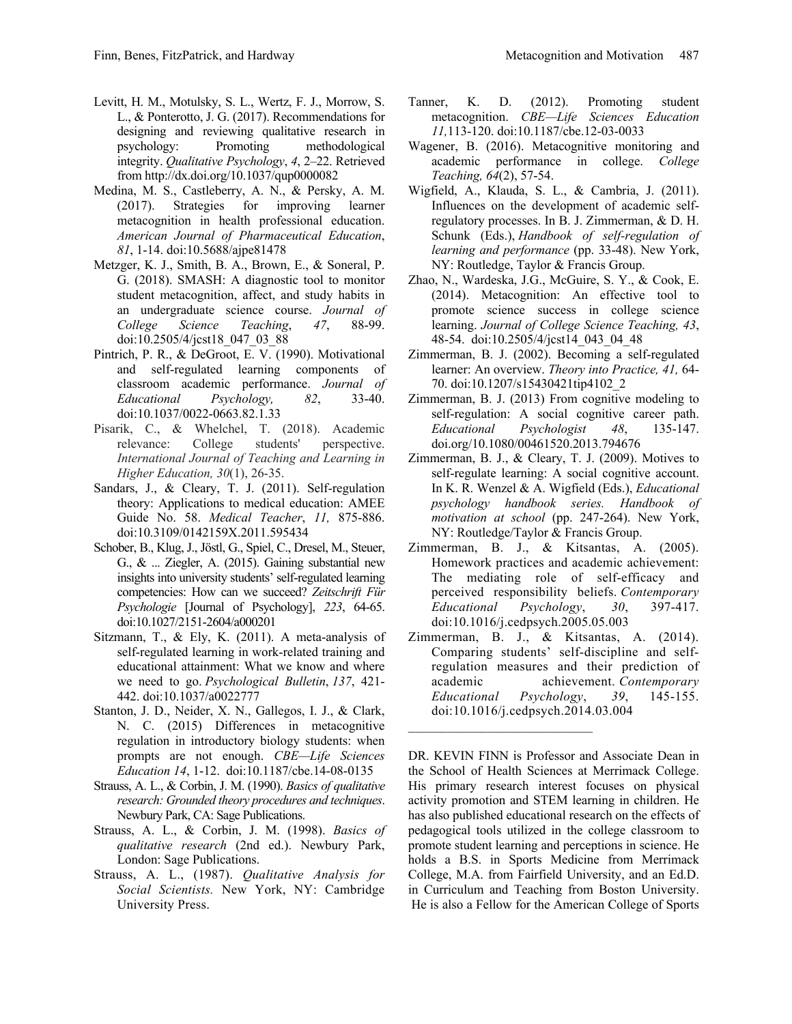- designing and reviewing qualitative research in psychology: Promoting methodological integrity. *Qualitative Psychology*, *4*, 2–22. Retrieved from http://dx.doi.org/10.1037/qup0000082
- Medina, M. S., Castleberry, A. N., & Persky, A. M. (2017). Strategies for improving learner metacognition in health professional education. *American Journal of Pharmaceutical Education*, *81*, 1-14. doi:10.5688/ajpe81478
- Metzger, K. J., Smith, B. A., Brown, E., & Soneral, P. G. (2018). SMASH: A diagnostic tool to monitor student metacognition, affect, and study habits in an undergraduate science course. *Journal of College Science Teaching*, *47*, 88-99. doi:10.2505/4/jcst18\_047\_03\_88
- Pintrich, P. R., & DeGroot, E. V. (1990). Motivational and self-regulated learning components of classroom academic performance. *Journal of Educational Psychology, 82*, 33-40. doi:10.1037/0022-0663.82.1.33
- Pisarik, C., & Whelchel, T. (2018). Academic relevance: College students' perspective. *International Journal of Teaching and Learning in Higher Education, 30*(1), 26-35.
- Sandars, J., & Cleary, T. J. (2011). Self-regulation theory: Applications to medical education: AMEE Guide No. 58. *Medical Teacher*, *11,* 875-886. doi:10.3109/0142159X.2011.595434
- Schober, B., Klug, J., Jöstl, G., Spiel, C., Dresel, M., Steuer, G., & ... Ziegler, A. (2015). Gaining substantial new insights into university students' self-regulated learning competencies: How can we succeed? *Zeitschrift Für Psychologie* [Journal of Psychology], *223*, 64-65. doi:10.1027/2151-2604/a000201
- Sitzmann, T., & Ely, K. (2011). A meta-analysis of self-regulated learning in work-related training and educational attainment: What we know and where we need to go. *Psychological Bulletin*, *137*, 421- 442. doi:10.1037/a0022777
- Stanton, J. D., Neider, X. N., Gallegos, I. J., & Clark, N. C. (2015) Differences in metacognitive regulation in introductory biology students: when prompts are not enough. *CBE—Life Sciences Education 14*, 1-12. doi:10.1187/cbe.14-08-0135
- Strauss, A. L., & Corbin, J. M. (1990). *Basics of qualitative research: Grounded theory procedures and techniques*. Newbury Park, CA: Sage Publications.
- Strauss, A. L., & Corbin, J. M. (1998). *Basics of qualitative research* (2nd ed.). Newbury Park, London: Sage Publications.
- Strauss, A. L., (1987). *Qualitative Analysis for Social Scientists.* New York, NY: Cambridge University Press.
- Tanner, K. D. (2012). Promoting student metacognition. *CBE—Life Sciences Education 11,*113-120. doi:10.1187/cbe.12-03-0033
- Wagener, B. (2016). Metacognitive monitoring and academic performance in college. *College Teaching, 64*(2), 57-54.
- Wigfield, A., Klauda, S. L., & Cambria, J. (2011). Influences on the development of academic selfregulatory processes. In B. J. Zimmerman, & D. H. Schunk (Eds.), *Handbook of self-regulation of learning and performance* (pp. 33-48). New York, NY: Routledge, Taylor & Francis Group.
- Zhao, N., Wardeska, J.G., McGuire, S. Y., & Cook, E. (2014). Metacognition: An effective tool to promote science success in college science learning. *Journal of College Science Teaching, 43*, 48-54. doi:10.2505/4/jcst14\_043\_04\_48
- Zimmerman, B. J. (2002). Becoming a self-regulated learner: An overview. *Theory into Practice, 41,* 64- 70. doi:10.1207/s15430421tip4102\_2
- Zimmerman, B. J. (2013) From cognitive modeling to self-regulation: A social cognitive career path. *Educational Psychologist 48*, 135-147. doi.org/10.1080/00461520.2013.794676
- Zimmerman, B. J., & Cleary, T. J. (2009). Motives to self-regulate learning: A social cognitive account. In K. R. Wenzel & A. Wigfield (Eds.), *Educational psychology handbook series. Handbook of motivation at school* (pp. 247-264). New York, NY: Routledge/Taylor & Francis Group.
- Zimmerman, B. J., & Kitsantas, A. (2005). Homework practices and academic achievement: The mediating role of self-efficacy and perceived responsibility beliefs. *Contemporary Educational Psychology*, *30*, 397-417. doi:10.1016/j.cedpsych.2005.05.003
- Zimmerman, B. J., & Kitsantas, A. (2014). Comparing students' self-discipline and selfregulation measures and their prediction of academic achievement. *Contemporary Educational Psychology*, *39*, 145-155. doi:10.1016/j.cedpsych.2014.03.004

 $\frac{1}{2}$  ,  $\frac{1}{2}$  ,  $\frac{1}{2}$  ,  $\frac{1}{2}$  ,  $\frac{1}{2}$  ,  $\frac{1}{2}$  ,  $\frac{1}{2}$  ,  $\frac{1}{2}$  ,  $\frac{1}{2}$  ,  $\frac{1}{2}$  ,  $\frac{1}{2}$  ,  $\frac{1}{2}$  ,  $\frac{1}{2}$  ,  $\frac{1}{2}$  ,  $\frac{1}{2}$  ,  $\frac{1}{2}$  ,  $\frac{1}{2}$  ,  $\frac{1}{2}$  ,  $\frac{1$ 

DR. KEVIN FINN is Professor and Associate Dean in the School of Health Sciences at Merrimack College. His primary research interest focuses on physical activity promotion and STEM learning in children. He has also published educational research on the effects of pedagogical tools utilized in the college classroom to promote student learning and perceptions in science. He holds a B.S. in Sports Medicine from Merrimack College, M.A. from Fairfield University, and an Ed.D. in Curriculum and Teaching from Boston University. He is also a Fellow for the American College of Sports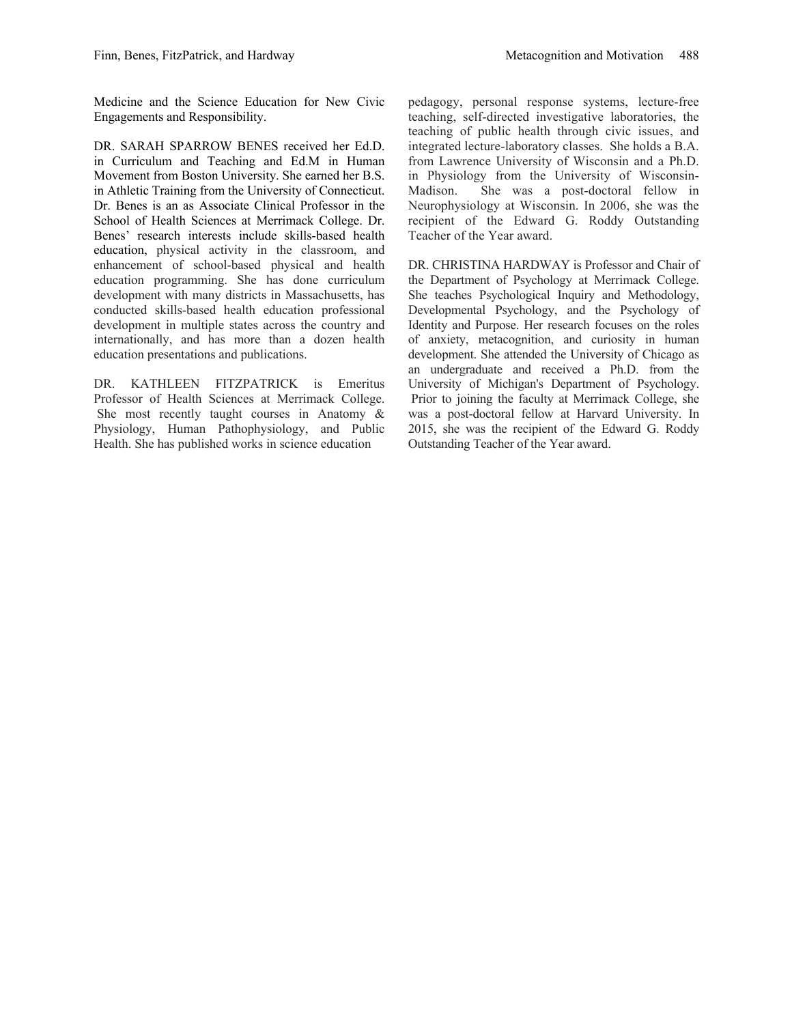Medicine and the Science Education for New Civic Engagements and Responsibility.

DR. SARAH SPARROW BENES received her Ed.D. in Curriculum and Teaching and Ed.M in Human Movement from Boston University. She earned her B.S. in Athletic Training from the University of Connecticut. Dr. Benes is an as Associate Clinical Professor in the School of Health Sciences at Merrimack College. Dr. Benes' research interests include skills-based health education, physical activity in the classroom, and enhancement of school-based physical and health education programming. She has done curriculum development with many districts in Massachusetts, has conducted skills-based health education professional development in multiple states across the country and internationally, and has more than a dozen health education presentations and publications.

DR. KATHLEEN FITZPATRICK is Emeritus Professor of Health Sciences at Merrimack College. She most recently taught courses in Anatomy & Physiology, Human Pathophysiology, and Public Health. She has published works in science education

pedagogy, personal response systems, lecture-free teaching, self-directed investigative laboratories, the teaching of public health through civic issues, and integrated lecture-laboratory classes. She holds a B.A. from Lawrence University of Wisconsin and a Ph.D. in Physiology from the University of Wisconsin-Madison. She was a post-doctoral fellow in Neurophysiology at Wisconsin. In 2006, she was the recipient of the Edward G. Roddy Outstanding Teacher of the Year award.

DR. CHRISTINA HARDWAY is Professor and Chair of the Department of Psychology at Merrimack College. She teaches Psychological Inquiry and Methodology, Developmental Psychology, and the Psychology of Identity and Purpose. Her research focuses on the roles of anxiety, metacognition, and curiosity in human development. She attended the University of Chicago as an undergraduate and received a Ph.D. from the University of Michigan's Department of Psychology. Prior to joining the faculty at Merrimack College, she was a post-doctoral fellow at Harvard University. In 2015, she was the recipient of the Edward G. Roddy Outstanding Teacher of the Year award.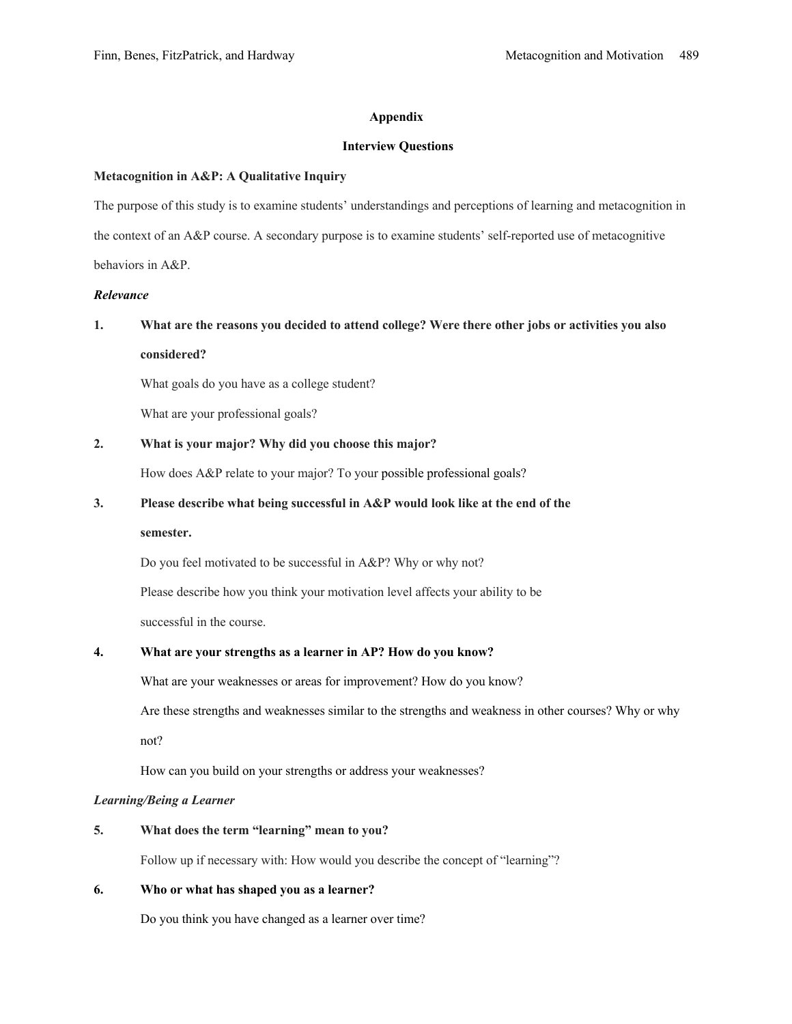#### **Appendix**

#### **Interview Questions**

#### **Metacognition in A&P: A Qualitative Inquiry**

The purpose of this study is to examine students' understandings and perceptions of learning and metacognition in the context of an A&P course. A secondary purpose is to examine students' self-reported use of metacognitive behaviors in A&P.

#### *Relevance*

### **1. What are the reasons you decided to attend college? Were there other jobs or activities you also considered?**

What goals do you have as a college student?

What are your professional goals?

#### **2. What is your major? Why did you choose this major?**

How does A&P relate to your major? To your possible professional goals?

#### **3. Please describe what being successful in A&P would look like at the end of the**

#### **semester.**

Do you feel motivated to be successful in A&P? Why or why not?

Please describe how you think your motivation level affects your ability to be

successful in the course.

#### **4. What are your strengths as a learner in AP? How do you know?**

What are your weaknesses or areas for improvement? How do you know?

Are these strengths and weaknesses similar to the strengths and weakness in other courses? Why or why not?

How can you build on your strengths or address your weaknesses?

#### *Learning/Being a Learner*

**5. What does the term "learning" mean to you?**

Follow up if necessary with: How would you describe the concept of "learning"?

#### **6. Who or what has shaped you as a learner?**

Do you think you have changed as a learner over time?